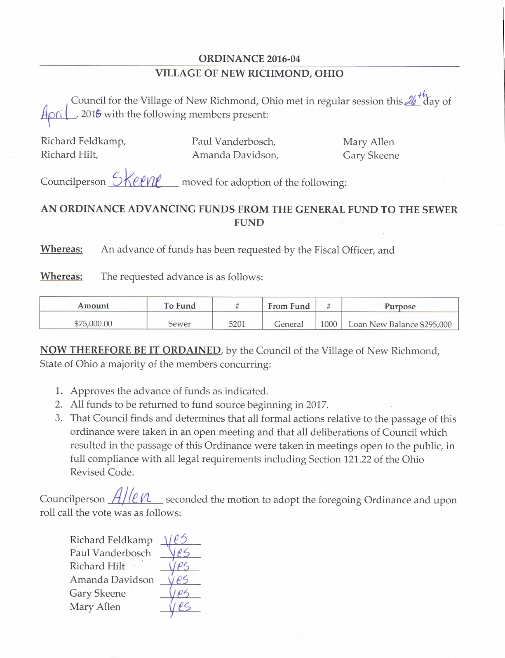## ORDINANCE 2016-04 VILLAGE OF NEW RICHMOND, OHIO

Council for the Village of New Richmond, Ohio met in regular session this  $\mathcal{U}^{\mu}$  day of 2016 with the following members present:

I

Richard Feldkamp, Paul Vanderbosch, Mary Allen Amanda Davidson,

Councilperson  $\frac{5}{2}$  moved for adoption of the following:

## AN ORDINANCE ADVANCING FUNDS FROM THE GENERAL FUND TO THE SEWER FUND

Whereas: An advance of funds has been requested by the Fiscal Officer, and

**Whereas:** The requested advance is as follows:

| Amount      | To Fund |      | From Fund |      | Purpose                    |
|-------------|---------|------|-----------|------|----------------------------|
| \$75,000.00 | Sewer   | 5201 | General   | 1000 | Loan New Balance \$295,000 |

**NOW THEREFORE BE IT ORDAINED**, by the Council of the Village of New Richmond, State of Ohio a majority of the members concurring:

- 1. Approves the advance of funds as indicated.
- 2. All funds to be returned to fund source beginning in 2017.
- 3. That Council finds and determines that all formal actions relative to the passage of this ordinance were taken in an open meeting and that all deliberations of Council which resulted in the passage of this Ordinance were taken in meetings open to the public, in full compliance with all legal requirements including Section 121.22 of the Ohio Revised Code.

Councilperson  $\frac{H}{I}$  exconded the motion to adopt the foregoing Ordinance and upon roll call the vote was as follows:

Richard Feldkamp Paul Vanderbosch Richard Hilt Amanda Gary Skeene derbosch<br>
Hilt<br>
Davidson Ves<br>
ene Ves Mary Allen